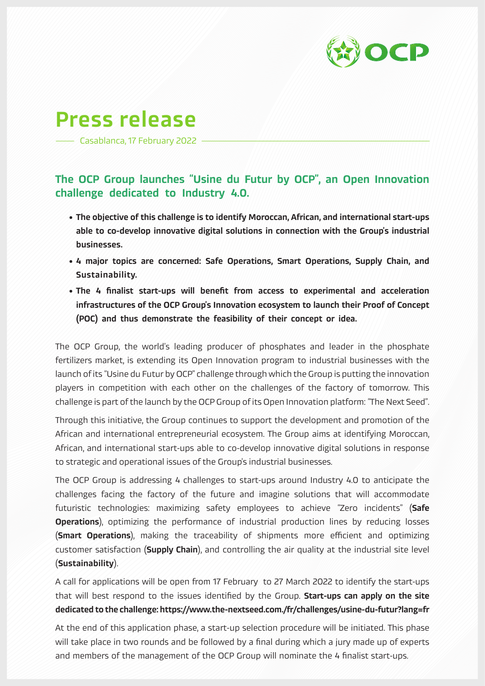

## Press release

Casablanca, 17 February 2022

## The OCP Group launches "Usine du Futur by OCP", an Open Innovation challenge dedicated to Industry 4.0.

- The objective of this challenge is to identify Moroccan, African, and international start-ups able to co-develop innovative digital solutions in connection with the Group's industrial businesses.
- 4 major topics are concerned: Safe Operations, Smart Operations, Supply Chain, and Sustainability.
- The 4 finalist start-ups will benefit from access to experimental and acceleration infrastructures of the OCP Group's Innovation ecosystem to launch their Proof of Concept (POC) and thus demonstrate the feasibility of their concept or idea.

The OCP Group, the world's leading producer of phosphates and leader in the phosphate fertilizers market, is extending its Open Innovation program to industrial businesses with the launch of its "Usine du Futur by OCP" challenge through which the Group is putting the innovation players in competition with each other on the challenges of the factory of tomorrow. This challenge is part of the launch by the OCP Group of its Open Innovation platform: "The Next Seed".

Through this initiative, the Group continues to support the development and promotion of the African and international entrepreneurial ecosystem. The Group aims at identifying Moroccan, African, and international start-ups able to co-develop innovative digital solutions in response to strategic and operational issues of the Group's industrial businesses.

The OCP Group is addressing 4 challenges to start-ups around Industry 4.0 to anticipate the challenges facing the factory of the future and imagine solutions that will accommodate futuristic technologies: maximizing safety employees to achieve "Zero incidents" (Safe **Operations**), optimizing the performance of industrial production lines by reducing losses (**Smart Operations**), making the traceability of shipments more efficient and optimizing customer satisfaction (Supply Chain), and controlling the air quality at the industrial site level (Sustainability).

A call for applications will be open from 17 February to 27 March 2022 to identify the start-ups that will best respond to the issues identified by the Group. Start-ups can apply on the site dedicated to the challenge: https://www.the-nextseed.com./fr/challenges/usine-du-futur?lang=fr

At the end of this application phase, a start-up selection procedure will be initiated. This phase will take place in two rounds and be followed by a final during which a jury made up of experts and members of the management of the OCP Group will nominate the 4 finalist start-ups.